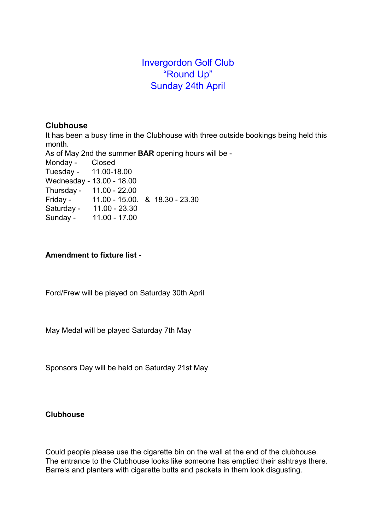# Invergordon Golf Club "Round Up" Sunday 24th April

#### **Clubhouse**

It has been a busy time in the Clubhouse with three outside bookings being held this month.

As of May 2nd the summer **BAR** opening hours will be -

Monday - Closed

Tuesday - 11.00-18.00

Wednesday - 13.00 - 18.00

Thursday - 11.00 - 22.00 Friday - 11.00 - 15.00. & 18.30 - 23.30

Saturday - 11.00 - 23.30

Sunday - 11.00 - 17.00

# **Amendment to fixture list -**

Ford/Frew will be played on Saturday 30th April

May Medal will be played Saturday 7th May

Sponsors Day will be held on Saturday 21st May

# **Clubhouse**

Could people please use the cigarette bin on the wall at the end of the clubhouse. The entrance to the Clubhouse looks like someone has emptied their ashtrays there. Barrels and planters with cigarette butts and packets in them look disgusting.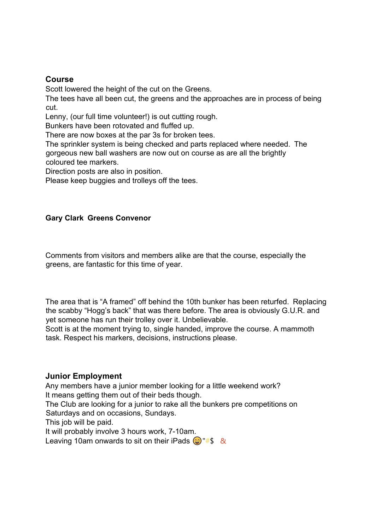#### **Course**

Scott lowered the height of the cut on the Greens.

The tees have all been cut, the greens and the approaches are in process of being cut.

Lenny, (our full time volunteer!) is out cutting rough.

Bunkers have been rotovated and fluffed up.

There are now boxes at the par 3s for broken tees.

The sprinkler system is being checked and parts replaced where needed. The gorgeous new ball washers are now out on course as are all the brightly coloured tee markers.

Direction posts are also in position.

Please keep buggies and trolleys off the tees.

#### **Gary Clark Greens Convenor**

Comments from visitors and members alike are that the course, especially the greens, are fantastic for this time of year.

The area that is "A framed" off behind the 10th bunker has been returfed. Replacing the scabby "Hogg's back" that was there before. The area is obviously G.U.R. and yet someone has run their trolley over it. Unbelievable.

Scott is at the moment trying to, single handed, improve the course. A mammoth task. Respect his markers, decisions, instructions please.

#### **Junior Employment**

Any members have a junior member looking for a little weekend work? It means getting them out of their beds though. The Club are looking for a junior to rake all the bunkers pre competitions on Saturdays and on occasions, Sundays. This job will be paid. It will probably involve 3 hours work, 7-10am.

Leaving 10am onwards to sit on their iPads  $\bigcirc$ "#\$ &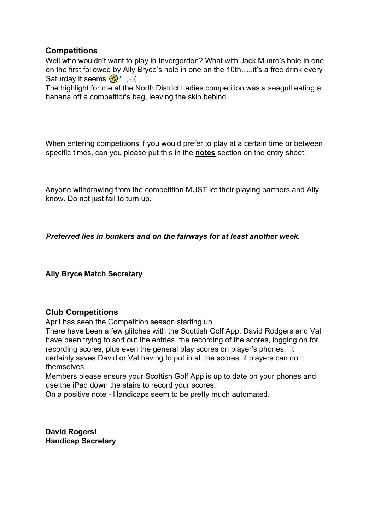# **Competitions**

Well who wouldn't want to play in Invergordon? What with Jack Munro's hole in one on the first followed by Ally Bryce's hole in one on the 10th…..it's a free drink every Saturday it seems  $(2)^*$ ,  $-$ )(

The highlight for me at the North District Ladies competition was a seagull eating a banana off a competitor's bag, leaving the skin behind.

When entering competitions if you would prefer to play at a certain time or between specific times, can you please put this in the **notes** section on the entry sheet.

Anyone withdrawing from the competition MUST let their playing partners and Ally know. Do not just fail to turn up.

*Preferred lies in bunkers and on the fairways for at least another week.*

**Ally Bryce Match Secretary**

# **Club Competitions**

April has seen the Competition season starting up.

There have been a few glitches with the Scottish Golf App. David Rodgers and Val have been trying to sort out the entries, the recording of the scores, logging on for recording scores, plus even the general play scores on player's phones. It certainly saves David or Val having to put in all the scores, if players can do it themselves.

Members please ensure your Scottish Golf App is up to date on your phones and use the iPad down the stairs to record your scores.

On a positive note - Handicaps seem to be pretty much automated.

**David Rogers! Handicap Secretary**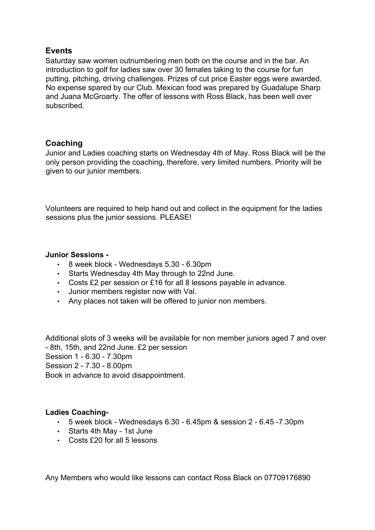# **Events**

Saturday saw women outnumbering men both on the course and in the bar. An introduction to golf for ladies saw over 30 females taking to the course for fun putting, pitching, driving challenges. Prizes of cut price Easter eggs were awarded. No expense spared by our Club. Mexican food was prepared by Guadalupe Sharp and Juana McGroarty. The offer of lessons with Ross Black, has been well over subscribed.

# **Coaching**

Junior and Ladies coaching starts on Wednesday 4th of May. Ross Black will be the only person providing the coaching, therefore, very limited numbers. Priority will be given to our junior members.

Volunteers are required to help hand out and collect in the equipment for the ladies sessions plus the junior sessions. PLEASE!

#### **Junior Sessions -**

- 8 week block Wednesdays 5.30 6.30pm
- Starts Wednesday 4th May through to 22nd June.
- Costs £2 per session or £16 for all 8 lessons payable in advance.
- Junior members register now with Val.
- Any places not taken will be offered to junior non members.

Additional slots of 3 weeks will be available for non member juniors aged 7 and over - 8th, 15th, and 22nd June. £2 per session Session 1 - 6.30 - 7.30pm Session 2 - 7.30 - 8.00pm Book in advance to avoid disappointment.

#### **Ladies Coaching-**

- 5 week block Wednesdays 6.30 6.45pm & session 2 6.45 -7.30pm
- Starts 4th May 1st June
- Costs £20 for all 5 lessons

Any Members who would like lessons can contact Ross Black on 07709176890